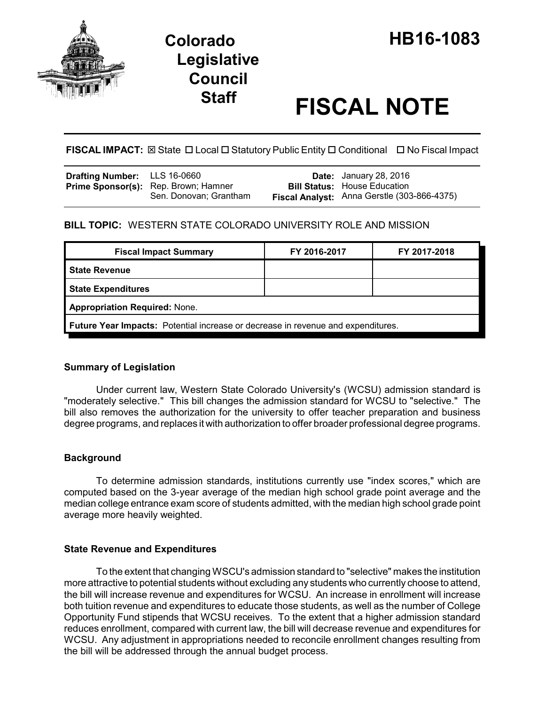

# **Legislative Council**

# **Staff FISCAL NOTE**

**FISCAL IMPACT:** ⊠ State □ Local □ Statutory Public Entity □ Conditional □ No Fiscal Impact

| Drafting Number: LLS 16-0660 |                                                                       | <b>Date:</b> January 28, 2016                                                      |
|------------------------------|-----------------------------------------------------------------------|------------------------------------------------------------------------------------|
|                              | <b>Prime Sponsor(s):</b> Rep. Brown; Hamner<br>Sen. Donovan; Grantham | <b>Bill Status: House Education</b><br>Fiscal Analyst: Anna Gerstle (303-866-4375) |

# **BILL TOPIC:** WESTERN STATE COLORADO UNIVERSITY ROLE AND MISSION

| <b>Fiscal Impact Summary</b>                                                            | FY 2016-2017 | FY 2017-2018 |  |  |
|-----------------------------------------------------------------------------------------|--------------|--------------|--|--|
| <b>State Revenue</b>                                                                    |              |              |  |  |
| <b>State Expenditures</b>                                                               |              |              |  |  |
| <b>Appropriation Required: None.</b>                                                    |              |              |  |  |
| <b>Future Year Impacts:</b> Potential increase or decrease in revenue and expenditures. |              |              |  |  |

### **Summary of Legislation**

Under current law, Western State Colorado University's (WCSU) admission standard is "moderately selective." This bill changes the admission standard for WCSU to "selective." The bill also removes the authorization for the university to offer teacher preparation and business degree programs, and replaces it with authorization to offer broader professional degree programs.

# **Background**

To determine admission standards, institutions currently use "index scores," which are computed based on the 3-year average of the median high school grade point average and the median college entrance exam score of students admitted, with the median high school grade point average more heavily weighted.

### **State Revenue and Expenditures**

To the extent that changing WSCU's admission standard to "selective" makes the institution more attractive to potential students without excluding any students who currently choose to attend, the bill will increase revenue and expenditures for WCSU. An increase in enrollment will increase both tuition revenue and expenditures to educate those students, as well as the number of College Opportunity Fund stipends that WCSU receives. To the extent that a higher admission standard reduces enrollment, compared with current law, the bill will decrease revenue and expenditures for WCSU. Any adjustment in appropriations needed to reconcile enrollment changes resulting from the bill will be addressed through the annual budget process.